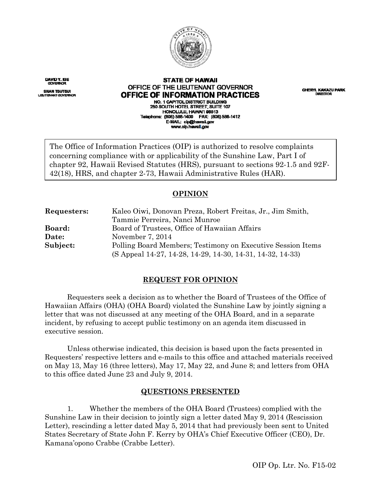

DAVID Y. IGE **GOVERNOR** 

**SHAN TSUTSUI** uaž

#### **STATE OF HAWAII** OFFICE OF THE LIEUTENANT GOVERNOR OFFICE OF INFORMATION PRACTICES NO. 1 CAPITOL DISTRICT BUILDING 250 SOUTH HOTEL STREET, SUITE 107 HONOLULU, HAWAI'I 98813 Telephone: (808) 586-1400 FAX: (808) 586-1412 E-MAIL: cip@hawail.gov www.olp.hawall.gov

**CHERYL KAKAZU PARK** DIRECTOR

The Office of Information Practices (OIP) is authorized to resolve complaints concerning compliance with or applicability of the Sunshine Law, Part I of chapter 92, Hawaii Revised Statutes (HRS), pursuant to sections 92-1.5 and 92F-42(18), HRS, and chapter 2-73, Hawaii Administrative Rules (HAR).

# **OPINION**

| Requesters:   | Kaleo Oiwi, Donovan Preza, Robert Freitas, Jr., Jim Smith,  |
|---------------|-------------------------------------------------------------|
|               | Tammie Perreira, Nanci Munroe                               |
| <b>Board:</b> | Board of Trustees, Office of Hawaiian Affairs               |
| Date:         | November 7, 2014                                            |
| Subject:      | Polling Board Members; Testimony on Executive Session Items |
|               | (S Appeal 14-27, 14-28, 14-29, 14-30, 14-31, 14-32, 14-33)  |

# **REQUEST FOR OPINION**

Requesters seek a decision as to whether the Board of Trustees of the Office of Hawaiian Affairs (OHA) (OHA Board) violated the Sunshine Law by jointly signing a letter that was not discussed at any meeting of the OHA Board, and in a separate incident, by refusing to accept public testimony on an agenda item discussed in executive session.

Unless otherwise indicated, this decision is based upon the facts presented in Requesters' respective letters and e-mails to this office and attached materials received on May 13, May 16 (three letters), May 17, May 22, and June 8; and letters from OHA to this office dated June 23 and July 9, 2014.

# **QUESTIONS PRESENTED**

1. Whether the members of the OHA Board (Trustees) complied with the Sunshine Law in their decision to jointly sign a letter dated May 9, 2014 (Rescission Letter), rescinding a letter dated May 5, 2014 that had previously been sent to United States Secretary of State John F. Kerry by OHA's Chief Executive Officer (CEO), Dr. Kamana'opono Crabbe (Crabbe Letter).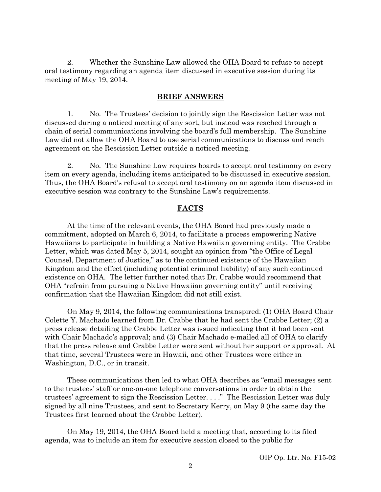2. Whether the Sunshine Law allowed the OHA Board to refuse to accept oral testimony regarding an agenda item discussed in executive session during its meeting of May 19, 2014.

### **BRIEF ANSWERS**

1. No. The Trustees' decision to jointly sign the Rescission Letter was not discussed during a noticed meeting of any sort, but instead was reached through a chain of serial communications involving the board's full membership. The Sunshine Law did not allow the OHA Board to use serial communications to discuss and reach agreement on the Rescission Letter outside a noticed meeting.

2. No. The Sunshine Law requires boards to accept oral testimony on every item on every agenda, including items anticipated to be discussed in executive session. Thus, the OHA Board's refusal to accept oral testimony on an agenda item discussed in executive session was contrary to the Sunshine Law's requirements.

## **FACTS**

At the time of the relevant events, the OHA Board had previously made a commitment, adopted on March 6, 2014, to facilitate a process empowering Native Hawaiians to participate in building a Native Hawaiian governing entity. The Crabbe Letter, which was dated May 5, 2014, sought an opinion from "the Office of Legal Counsel, Department of Justice," as to the continued existence of the Hawaiian Kingdom and the effect (including potential criminal liability) of any such continued existence on OHA. The letter further noted that Dr. Crabbe would recommend that OHA "refrain from pursuing a Native Hawaiian governing entity" until receiving confirmation that the Hawaiian Kingdom did not still exist.

On May 9, 2014, the following communications transpired: (1) OHA Board Chair Colette Y. Machado learned from Dr. Crabbe that he had sent the Crabbe Letter; (2) a press release detailing the Crabbe Letter was issued indicating that it had been sent with Chair Machado's approval; and (3) Chair Machado e-mailed all of OHA to clarify that the press release and Crabbe Letter were sent without her support or approval. At that time, several Trustees were in Hawaii, and other Trustees were either in Washington, D.C., or in transit.

These communications then led to what OHA describes as "email messages sent to the trustees' staff or one-on-one telephone conversations in order to obtain the trustees' agreement to sign the Rescission Letter. . . ." The Rescission Letter was duly signed by all nine Trustees, and sent to Secretary Kerry, on May 9 (the same day the Trustees first learned about the Crabbe Letter).

On May 19, 2014, the OHA Board held a meeting that, according to its filed agenda, was to include an item for executive session closed to the public for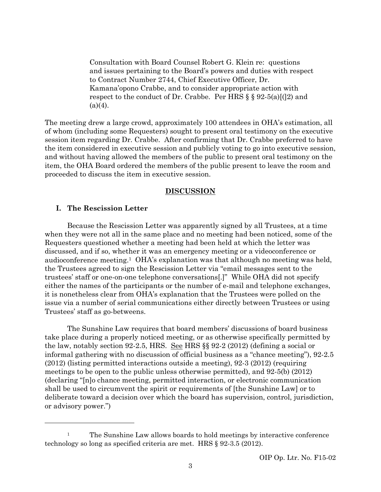Consultation with Board Counsel Robert G. Klein re: questions and issues pertaining to the Board's powers and duties with respect to Contract Number 2744, Chief Executive Officer, Dr. Kamana'opono Crabbe, and to consider appropriate action with respect to the conduct of Dr. Crabbe. Per HRS  $\S$   $\S$   $\S$   $92-5(a)[(2)$  and  $(a)(4)$ .

The meeting drew a large crowd, approximately 100 attendees in OHA's estimation, all of whom (including some Requesters) sought to present oral testimony on the executive session item regarding Dr. Crabbe. After confirming that Dr. Crabbe preferred to have the item considered in executive session and publicly voting to go into executive session, and without having allowed the members of the public to present oral testimony on the item, the OHA Board ordered the members of the public present to leave the room and proceeded to discuss the item in executive session.

### **DISCUSSION**

# **I. The Rescission Letter**

 $\overline{a}$ 

Because the Rescission Letter was apparently signed by all Trustees, at a time when they were not all in the same place and no meeting had been noticed, some of the Requesters questioned whether a meeting had been held at which the letter was discussed, and if so, whether it was an emergency meeting or a videoconference or audioconference meeting.1 OHA's explanation was that although no meeting was held, the Trustees agreed to sign the Rescission Letter via "email messages sent to the trustees' staff or one-on-one telephone conversations[.]" While OHA did not specify either the names of the participants or the number of e-mail and telephone exchanges, it is nonetheless clear from OHA's explanation that the Trustees were polled on the issue via a number of serial communications either directly between Trustees or using Trustees' staff as go-betweens.

The Sunshine Law requires that board members' discussions of board business take place during a properly noticed meeting, or as otherwise specifically permitted by the law, notably section 92-2.5, HRS.  $\underline{See}$  HRS  $\S$  92-2 (2012) (defining a social or informal gathering with no discussion of official business as a "chance meeting"), 92-2.5 (2012) (listing permitted interactions outside a meeting), 92-3 (2012) (requiring meetings to be open to the public unless otherwise permitted), and 92-5(b) (2012) (declaring "[n]o chance meeting, permitted interaction, or electronic communication shall be used to circumvent the spirit or requirements of [the Sunshine Law] or to deliberate toward a decision over which the board has supervision, control, jurisdiction, or advisory power.")

 $\,1\,$ 1 The Sunshine Law allows boards to hold meetings by interactive conference technology so long as specified criteria are met. HRS § 92-3.5 (2012).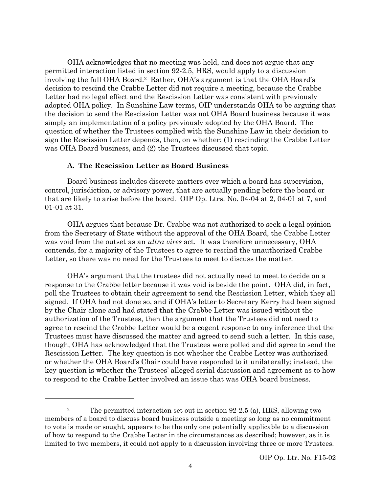OHA acknowledges that no meeting was held, and does not argue that any permitted interaction listed in section 92-2.5, HRS, would apply to a discussion involving the full OHA Board.2 Rather, OHA's argument is that the OHA Board's decision to rescind the Crabbe Letter did not require a meeting, because the Crabbe Letter had no legal effect and the Rescission Letter was consistent with previously adopted OHA policy. In Sunshine Law terms, OIP understands OHA to be arguing that the decision to send the Rescission Letter was not OHA Board business because it was simply an implementation of a policy previously adopted by the OHA Board. The question of whether the Trustees complied with the Sunshine Law in their decision to sign the Rescission Letter depends, then, on whether: (1) rescinding the Crabbe Letter was OHA Board business, and (2) the Trustees discussed that topic.

## **A. The Rescission Letter as Board Business**

 $\overline{a}$ 

Board business includes discrete matters over which a board has supervision, control, jurisdiction, or advisory power, that are actually pending before the board or that are likely to arise before the board. OIP Op. Ltrs. No. 04-04 at 2, 04-01 at 7, and 01-01 at 31.

OHA argues that because Dr. Crabbe was not authorized to seek a legal opinion from the Secretary of State without the approval of the OHA Board, the Crabbe Letter was void from the outset as an *ultra vires* act. It was therefore unnecessary, OHA contends, for a majority of the Trustees to agree to rescind the unauthorized Crabbe Letter, so there was no need for the Trustees to meet to discuss the matter.

OHA's argument that the trustees did not actually need to meet to decide on a response to the Crabbe letter because it was void is beside the point. OHA did, in fact, poll the Trustees to obtain their agreement to send the Rescission Letter, which they all signed. If OHA had not done so, and if OHA's letter to Secretary Kerry had been signed by the Chair alone and had stated that the Crabbe Letter was issued without the authorization of the Trustees, then the argument that the Trustees did not need to agree to rescind the Crabbe Letter would be a cogent response to any inference that the Trustees must have discussed the matter and agreed to send such a letter. In this case, though, OHA has acknowledged that the Trustees were polled and did agree to send the Rescission Letter. The key question is not whether the Crabbe Letter was authorized or whether the OHA Board's Chair could have responded to it unilaterally; instead, the key question is whether the Trustees' alleged serial discussion and agreement as to how to respond to the Crabbe Letter involved an issue that was OHA board business.

 $\,2$ 2 The permitted interaction set out in section 92-2.5 (a), HRS, allowing two members of a board to discuss board business outside a meeting so long as no commitment to vote is made or sought, appears to be the only one potentially applicable to a discussion of how to respond to the Crabbe Letter in the circumstances as described; however, as it is limited to two members, it could not apply to a discussion involving three or more Trustees.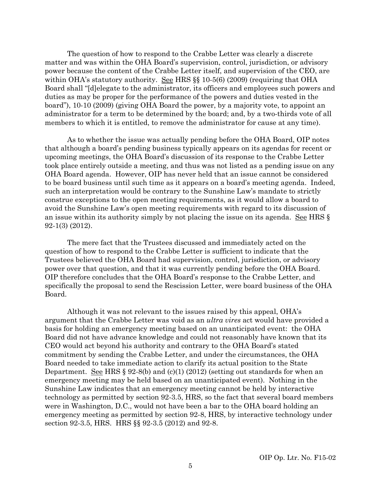The question of how to respond to the Crabbe Letter was clearly a discrete matter and was within the OHA Board's supervision, control, jurisdiction, or advisory power because the content of the Crabbe Letter itself, and supervision of the CEO, are within OHA's statutory authority. See HRS §§ 10-5(6) (2009) (requiring that OHA Board shall "[d]elegate to the administrator, its officers and employees such powers and duties as may be proper for the performance of the powers and duties vested in the board"), 10-10 (2009) (giving OHA Board the power, by a majority vote, to appoint an administrator for a term to be determined by the board; and, by a two-thirds vote of all members to which it is entitled, to remove the administrator for cause at any time).

As to whether the issue was actually pending before the OHA Board, OIP notes that although a board's pending business typically appears on its agendas for recent or upcoming meetings, the OHA Board's discussion of its response to the Crabbe Letter took place entirely outside a meeting, and thus was not listed as a pending issue on any OHA Board agenda. However, OIP has never held that an issue cannot be considered to be board business until such time as it appears on a board's meeting agenda. Indeed, such an interpretation would be contrary to the Sunshine Law's mandate to strictly construe exceptions to the open meeting requirements, as it would allow a board to avoid the Sunshine Law's open meeting requirements with regard to its discussion of an issue within its authority simply by not placing the issue on its agenda. See HRS  $\S$ 92-1(3) (2012).

The mere fact that the Trustees discussed and immediately acted on the question of how to respond to the Crabbe Letter is sufficient to indicate that the Trustees believed the OHA Board had supervision, control, jurisdiction, or advisory power over that question, and that it was currently pending before the OHA Board. OIP therefore concludes that the OHA Board's response to the Crabbe Letter, and specifically the proposal to send the Rescission Letter, were board business of the OHA Board.

Although it was not relevant to the issues raised by this appeal, OHA's argument that the Crabbe Letter was void as an *ultra vires* act would have provided a basis for holding an emergency meeting based on an unanticipated event: the OHA Board did not have advance knowledge and could not reasonably have known that its CEO would act beyond his authority and contrary to the OHA Board's stated commitment by sending the Crabbe Letter, and under the circumstances, the OHA Board needed to take immediate action to clarify its actual position to the State Department. See HRS  $\S 92-8(b)$  and (c)(1) (2012) (setting out standards for when an emergency meeting may be held based on an unanticipated event). Nothing in the Sunshine Law indicates that an emergency meeting cannot be held by interactive technology as permitted by section 92-3.5, HRS, so the fact that several board members were in Washington, D.C., would not have been a bar to the OHA board holding an emergency meeting as permitted by section 92-8, HRS, by interactive technology under section 92-3.5, HRS. HRS §§ 92-3.5 (2012) and 92-8.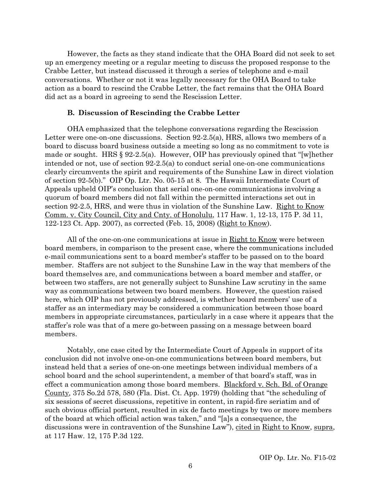However, the facts as they stand indicate that the OHA Board did not seek to set up an emergency meeting or a regular meeting to discuss the proposed response to the Crabbe Letter, but instead discussed it through a series of telephone and e-mail conversations. Whether or not it was legally necessary for the OHA Board to take action as a board to rescind the Crabbe Letter, the fact remains that the OHA Board did act as a board in agreeing to send the Rescission Letter.

## **B. Discussion of Rescinding the Crabbe Letter**

OHA emphasized that the telephone conversations regarding the Rescission Letter were one-on-one discussions. Section 92-2.5(a), HRS, allows two members of a board to discuss board business outside a meeting so long as no commitment to vote is made or sought. HRS § 92-2.5(a). However, OIP has previously opined that "[w]hether intended or not, use of section 92-2.5(a) to conduct serial one-on-one communications clearly circumvents the spirit and requirements of the Sunshine Law in direct violation of section 92-5(b)." OIP Op. Ltr. No. 05-15 at 8. The Hawaii Intermediate Court of Appeals upheld OIP's conclusion that serial one-on-one communications involving a quorum of board members did not fall within the permitted interactions set out in section 92-2.5, HRS, and were thus in violation of the Sunshine Law. Right to Know Comm. v. City Council, City and Cnty. of Honolulu, 117 Haw. 1, 12-13, 175 P. 3d 11, 122-123 Ct. App. 2007), as corrected (Feb. 15, 2008) (Right to Know).

All of the one-on-one communications at issue in Right to Know were between board members, in comparison to the present case, where the communications included e-mail communications sent to a board member's staffer to be passed on to the board member. Staffers are not subject to the Sunshine Law in the way that members of the board themselves are, and communications between a board member and staffer, or between two staffers, are not generally subject to Sunshine Law scrutiny in the same way as communications between two board members. However, the question raised here, which OIP has not previously addressed, is whether board members' use of a staffer as an intermediary may be considered a communication between those board members in appropriate circumstances, particularly in a case where it appears that the staffer's role was that of a mere go-between passing on a message between board members.

Notably, one case cited by the Intermediate Court of Appeals in support of its conclusion did not involve one-on-one communications between board members, but instead held that a series of one-on-one meetings between individual members of a school board and the school superintendent, a member of that board's staff, was in effect a communication among those board members. Blackford v. Sch. Bd. of Orange County*,* 375 So.2d 578, 580 (Fla. Dist. Ct. App. 1979) (holding that "the scheduling of six sessions of secret discussions, repetitive in content, in rapid-fire seriatim and of such obvious official portent, resulted in six de facto meetings by two or more members of the board at which official action was taken," and "[a]s a consequence, the discussions were in contravention of the Sunshine Law"), cited in Right to Know, supra, at 117 Haw. 12, 175 P.3d 122.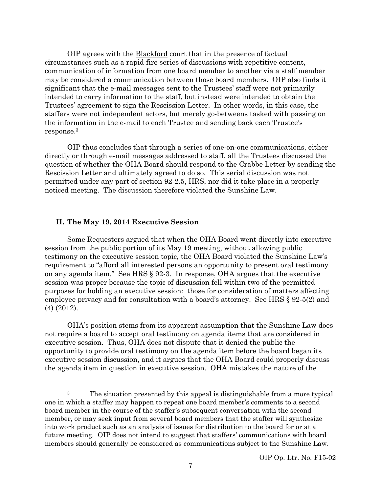OIP agrees with the Blackford court that in the presence of factual circumstances such as a rapid-fire series of discussions with repetitive content, communication of information from one board member to another via a staff member may be considered a communication between those board members. OIP also finds it significant that the e-mail messages sent to the Trustees' staff were not primarily intended to carry information to the staff, but instead were intended to obtain the Trustees' agreement to sign the Rescission Letter. In other words, in this case, the staffers were not independent actors, but merely go-betweens tasked with passing on the information in the e-mail to each Trustee and sending back each Trustee's response.3

OIP thus concludes that through a series of one-on-one communications, either directly or through e-mail messages addressed to staff, all the Trustees discussed the question of whether the OHA Board should respond to the Crabbe Letter by sending the Rescission Letter and ultimately agreed to do so. This serial discussion was not permitted under any part of section 92-2.5, HRS, nor did it take place in a properly noticed meeting. The discussion therefore violated the Sunshine Law.

# **II. The May 19, 2014 Executive Session**

l

Some Requesters argued that when the OHA Board went directly into executive session from the public portion of its May 19 meeting, without allowing public testimony on the executive session topic, the OHA Board violated the Sunshine Law's requirement to "afford all interested persons an opportunity to present oral testimony on any agenda item." See HRS § 92-3. In response, OHA argues that the executive session was proper because the topic of discussion fell within two of the permitted purposes for holding an executive session: those for consideration of matters affecting employee privacy and for consultation with a board's attorney. See HRS § 92-5(2) and (4) (2012).

OHA's position stems from its apparent assumption that the Sunshine Law does not require a board to accept oral testimony on agenda items that are considered in executive session. Thus, OHA does not dispute that it denied the public the opportunity to provide oral testimony on the agenda item before the board began its executive session discussion, and it argues that the OHA Board could properly discuss the agenda item in question in executive session. OHA mistakes the nature of the

 $\,3$ The situation presented by this appeal is distinguishable from a more typical one in which a staffer may happen to repeat one board member's comments to a second board member in the course of the staffer's subsequent conversation with the second member, or may seek input from several board members that the staffer will synthesize into work product such as an analysis of issues for distribution to the board for or at a future meeting. OIP does not intend to suggest that staffers' communications with board members should generally be considered as communications subject to the Sunshine Law.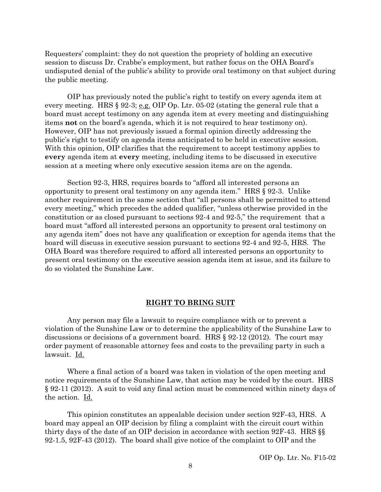Requesters' complaint: they do not question the propriety of holding an executive session to discuss Dr. Crabbe's employment, but rather focus on the OHA Board's undisputed denial of the public's ability to provide oral testimony on that subject during the public meeting.

OIP has previously noted the public's right to testify on every agenda item at every meeting. HRS § 92-3; e.g. OIP Op. Ltr. 05-02 (stating the general rule that a board must accept testimony on any agenda item at every meeting and distinguishing items **not** on the board's agenda, which it is not required to hear testimony on). However, OIP has not previously issued a formal opinion directly addressing the public's right to testify on agenda items anticipated to be held in executive session. With this opinion, OIP clarifies that the requirement to accept testimony applies to **every** agenda item at **every** meeting, including items to be discussed in executive session at a meeting where only executive session items are on the agenda.

Section 92-3, HRS, requires boards to "afford all interested persons an opportunity to present oral testimony on any agenda item." HRS § 92-3. Unlike another requirement in the same section that "all persons shall be permitted to attend every meeting," which precedes the added qualifier, "unless otherwise provided in the constitution or as closed pursuant to sections 92-4 and 92-5," the requirement that a board must "afford all interested persons an opportunity to present oral testimony on any agenda item" does not have any qualification or exception for agenda items that the board will discuss in executive session pursuant to sections 92-4 and 92-5, HRS. The OHA Board was therefore required to afford all interested persons an opportunity to present oral testimony on the executive session agenda item at issue, and its failure to do so violated the Sunshine Law.

#### **RIGHT TO BRING SUIT**

Any person may file a lawsuit to require compliance with or to prevent a violation of the Sunshine Law or to determine the applicability of the Sunshine Law to discussions or decisions of a government board. HRS § 92-12 (2012). The court may order payment of reasonable attorney fees and costs to the prevailing party in such a lawsuit. Id.

Where a final action of a board was taken in violation of the open meeting and notice requirements of the Sunshine Law, that action may be voided by the court. HRS § 92-11 (2012). A suit to void any final action must be commenced within ninety days of the action. Id.

This opinion constitutes an appealable decision under section 92F-43, HRS. A board may appeal an OIP decision by filing a complaint with the circuit court within thirty days of the date of an OIP decision in accordance with section 92F-43. HRS §§ 92-1.5, 92F-43 (2012). The board shall give notice of the complaint to OIP and the